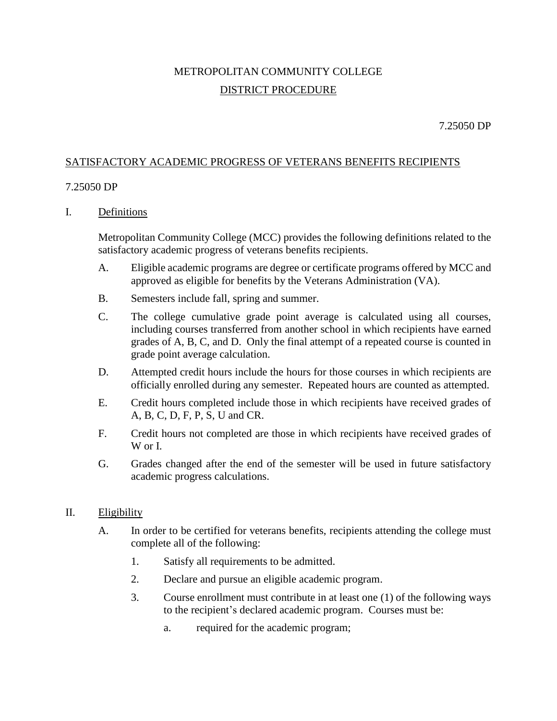# METROPOLITAN COMMUNITY COLLEGE DISTRICT PROCEDURE

7.25050 DP

## SATISFACTORY ACADEMIC PROGRESS OF VETERANS BENEFITS RECIPIENTS

### 7.25050 DP

I. Definitions

Metropolitan Community College (MCC) provides the following definitions related to the satisfactory academic progress of veterans benefits recipients.

- A. Eligible academic programs are degree or certificate programs offered by MCC and approved as eligible for benefits by the Veterans Administration (VA).
- B. Semesters include fall, spring and summer.
- C. The college cumulative grade point average is calculated using all courses, including courses transferred from another school in which recipients have earned grades of A, B, C, and D. Only the final attempt of a repeated course is counted in grade point average calculation.
- D. Attempted credit hours include the hours for those courses in which recipients are officially enrolled during any semester. Repeated hours are counted as attempted.
- E. Credit hours completed include those in which recipients have received grades of A, B, C, D, F, P, S, U and CR.
- F. Credit hours not completed are those in which recipients have received grades of W or I.
- G. Grades changed after the end of the semester will be used in future satisfactory academic progress calculations.

### II. Eligibility

- A. In order to be certified for veterans benefits, recipients attending the college must complete all of the following:
	- 1. Satisfy all requirements to be admitted.
	- 2. Declare and pursue an eligible academic program.
	- 3. Course enrollment must contribute in at least one (1) of the following ways to the recipient's declared academic program. Courses must be:
		- a. required for the academic program;